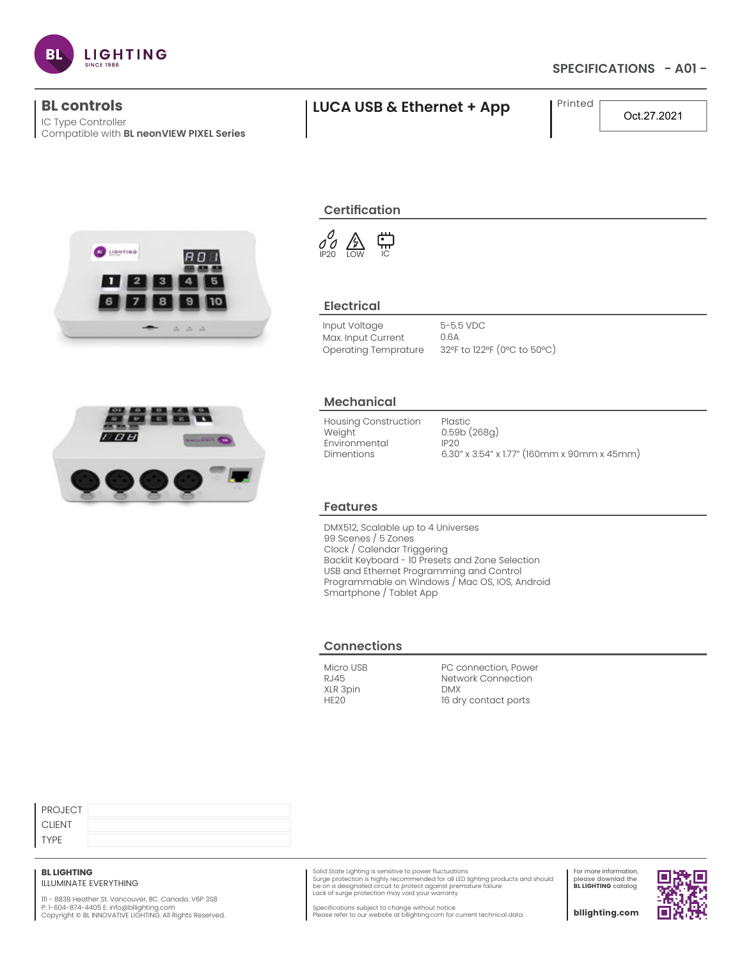

# **SPECIFICATIONS - A01 -**

IC Type Controller Compatible with **BL neonVIEW PIXEL Series**

# **BL controls LUCA USB & Ethernet + App** Printed

Oct.27.2021





# **Certification**

 $\begin{array}{c}\n0 \\
0\n\end{array}\n\begin{array}{c}\n\bigoplus\n\\
\text{IOW}\n\end{array}$ ុ IC

## **Electrical**

Input Voltage Max. Input Current 5-5.5 VDC 0.6A Operating Temprature 32°F to 122°F (0°C to 50°C)

# **Mechanical**

Housing Construction **Weight** Environmental Dimentions Plastic 0.59b (268g) IP20

6.30" x 3.54" x 1.77" (160mm x 90mm x 45mm)

### **Features**

DMX512, Scalable up to 4 Universes 99 Scenes / 5 Zones Clock / Calendar Triggering Backlit Keyboard - 10 Presets and Zone Selection USB and Ethernet Programming and Control Programmable on Windows / Mac OS, IOS, Android Smartphone / Tablet App

### **Connections**

Micro USB RJ45 XLR 3pin HE20

PC connection, Power Network Connection DMX 16 dry contact ports

| <b>PROJECT</b> |  |
|----------------|--|
| <b>CLIENT</b>  |  |
| <b>TYPE</b>    |  |

### **BL LIGHTING**

ILLUMINATE EVERYTHING

111 - 8838 Heather St. Vancouver, BC. Canada. V6P 3S8 P: 1-604-874-4405 E: info@bllighting.com<br>Copyright © BL INNOVATIVE LIGHTING. All Rights Reserved.

Solid State Lighting is sensitive to power fluctuations<br>Surge protection is highly recommended for all LED lighting products and should<br>be on a designated circuit to protect against premature failure Lack of surge protection may void your warranty

For more information, please downlad the **BL LIGHTING** catalog

П

Specifications subject to change without notice. Please refer to our website at bllighting.com for current technical data.

**bllighting.com**